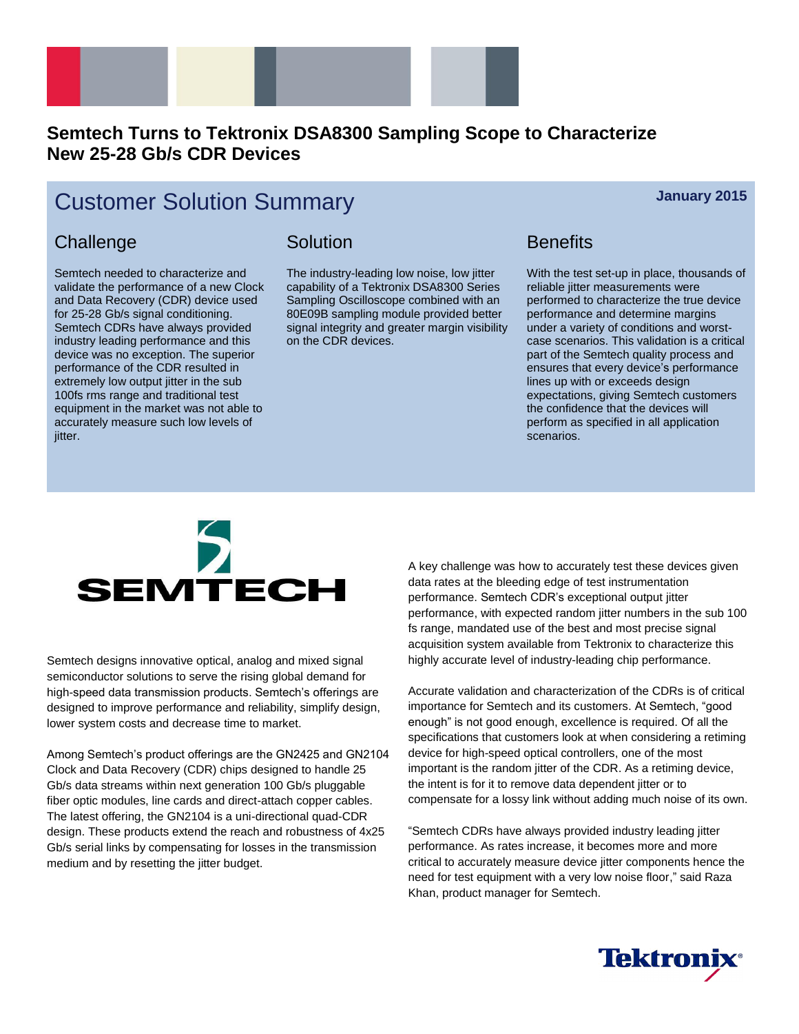

## **Semtech Turns to Tektronix DSA8300 Sampling Scope to Characterize New 25-28 Gb/s CDR Devices**

# **Customer Solution Summary** *January* **2015**

#### **Challenge**

Semtech needed to characterize and validate the performance of a new Clock and Data Recovery (CDR) device used for 25-28 Gb/s signal conditioning. Semtech CDRs have always provided industry leading performance and this device was no exception. The superior performance of the CDR resulted in extremely low output jitter in the sub 100fs rms range and traditional test equipment in the market was not able to accurately measure such low levels of jitter.

### Solution

The industry-leading low noise, low jitter capability of a Tektronix DSA8300 Series Sampling Oscilloscope combined with an 80E09B sampling module provided better signal integrity and greater margin visibility on the CDR devices.

### **Benefits**

With the test set-up in place, thousands of reliable jitter measurements were performed to characterize the true device performance and determine margins under a variety of conditions and worstcase scenarios. This validation is a critical part of the Semtech quality process and ensures that every device's performance lines up with or exceeds design expectations, giving Semtech customers the confidence that the devices will perform as specified in all application scenarios.



Semtech designs innovative optical, analog and mixed signal semiconductor solutions to serve the rising global demand for high-speed data transmission products. Semtech's offerings are designed to improve performance and reliability, simplify design, lower system costs and decrease time to market.

Among Semtech's product offerings are the GN2425 and GN2104 Clock and Data Recovery (CDR) chips designed to handle 25 Gb/s data streams within next generation 100 Gb/s pluggable fiber optic modules, line cards and direct-attach copper cables. The latest offering, the GN2104 is a uni-directional quad-CDR design. These products extend the reach and robustness of 4x25 Gb/s serial links by compensating for losses in the transmission medium and by resetting the jitter budget.

A key challenge was how to accurately test these devices given data rates at the bleeding edge of test instrumentation performance. Semtech CDR's exceptional output jitter performance, with expected random jitter numbers in the sub 100 fs range, mandated use of the best and most precise signal acquisition system available from Tektronix to characterize this highly accurate level of industry-leading chip performance.

Accurate validation and characterization of the CDRs is of critical importance for Semtech and its customers. At Semtech, "good enough" is not good enough, excellence is required. Of all the specifications that customers look at when considering a retiming device for high-speed optical controllers, one of the most important is the random jitter of the CDR. As a retiming device, the intent is for it to remove data dependent jitter or to compensate for a lossy link without adding much noise of its own.

"Semtech CDRs have always provided industry leading jitter performance. As rates increase, it becomes more and more critical to accurately measure device jitter components hence the need for test equipment with a very low noise floor," said Raza Khan, product manager for Semtech.

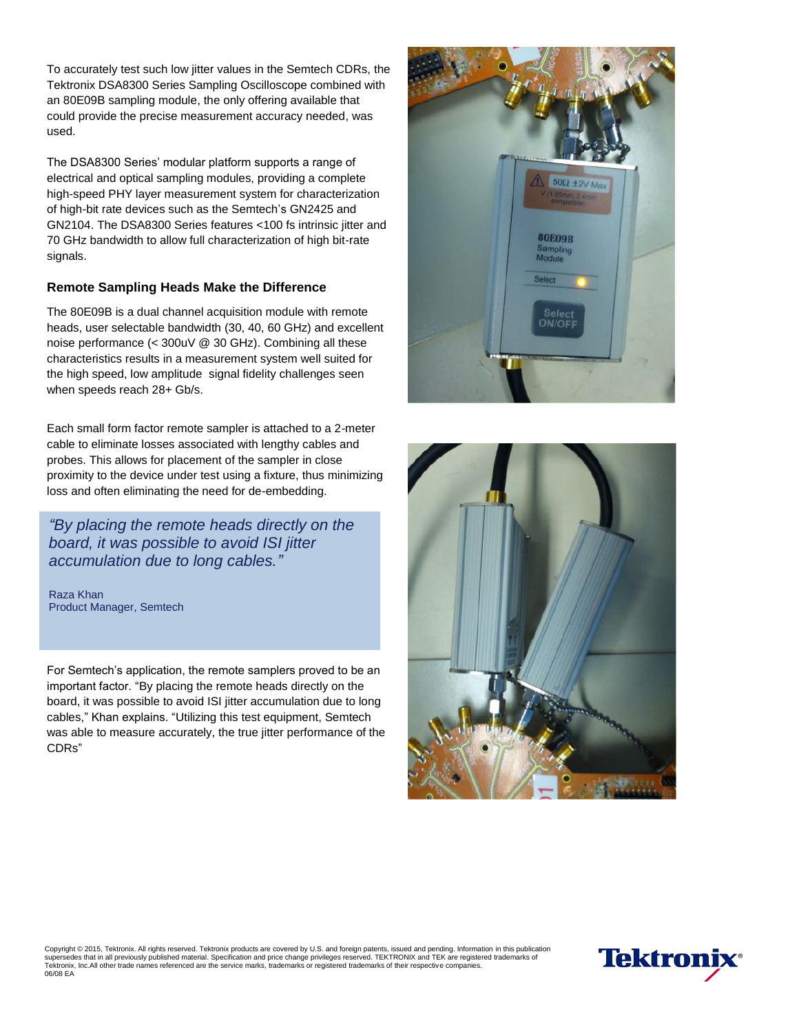To accurately test such low jitter values in the Semtech CDRs, the Tektronix DSA8300 Series Sampling Oscilloscope combined with an 80E09B sampling module, the only offering available that could provide the precise measurement accuracy needed, was used.

The DSA8300 Series' modular platform supports a range of electrical and optical sampling modules, providing a complete high-speed PHY layer measurement system for characterization of high-bit rate devices such as the Semtech's GN2425 and GN2104. The DSA8300 Series features <100 fs intrinsic jitter and 70 GHz bandwidth to allow full characterization of high bit-rate signals.

#### **Remote Sampling Heads Make the Difference**

The 80E09B is a dual channel acquisition module with remote heads, user selectable bandwidth (30, 40, 60 GHz) and excellent noise performance (< 300uV @ 30 GHz). Combining all these characteristics results in a measurement system well suited for the high speed, low amplitude signal fidelity challenges seen when speeds reach 28+ Gb/s.

Each small form factor remote sampler is attached to a 2-meter cable to eliminate losses associated with lengthy cables and probes. This allows for placement of the sampler in close proximity to the device under test using a fixture, thus minimizing loss and often eliminating the need for de-embedding.

*"By placing the remote heads directly on the board, it was possible to avoid ISI jitter accumulation due to long cables."*

Raza Khan Product Manager, Semtech

For Semtech's application, the remote samplers proved to be an important factor. "By placing the remote heads directly on the board, it was possible to avoid ISI jitter accumulation due to long cables," Khan explains. "Utilizing this test equipment, Semtech was able to measure accurately, the true jitter performance of the CDRs"





Copyright © 2015, Tektronix. All rights reserved. Tektronix products are covered by U.S. and foreign patents, issued and pending. Information in this publication<br>supersedes that in all previously published material. Speci supersedes that in all previously published material. Specification and price change privileges reserved. TEKTRONIX and TEK are registered trademarks of<br>Tektronix, Inc.All other trade names referenced are the service marks 06/08 EA